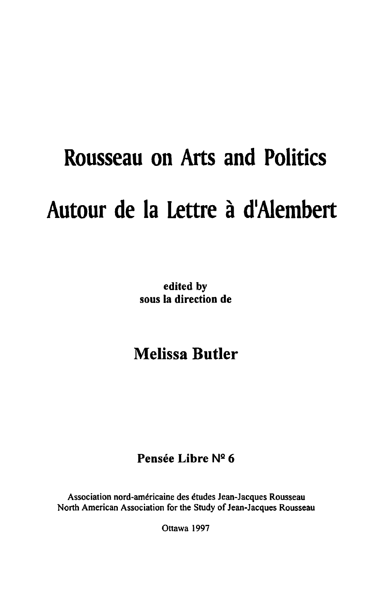# **Rousseau on Arts and Politics Autour de la Lettre a dlAiembert**

edited by sons la direction de

# Melissa **Butler**

## Pensée Libre Nº 6

Association nord-americaine des etudes Jean-Jacques Rousseau North American Association for the Study of Jean-Jacques Rousseau

Ottawa 1997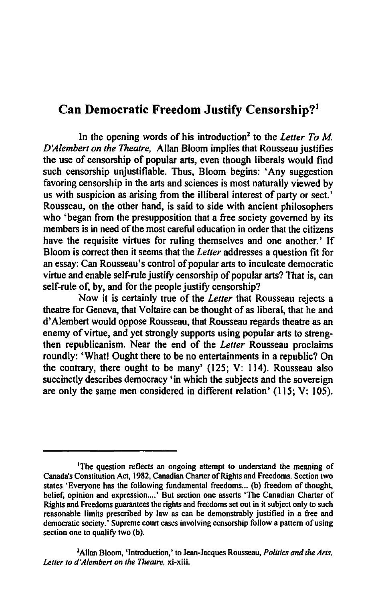### Can Democratic Freedom Justify Censorship?1

In the opening words of his introduction<sup>2</sup> to the *Letter To M*. *D'Alemberl on the Theatre,* Allan Bloom implies that Rousseau justifies the use of censorship of popular arts, even though liberals would find such censorship unjustifiable. Thus, Bloom begins: 'Any suggestion favoring censorship in the arts and sciences is most naturally viewed by us with suspicion as arising from the illiberal interest of party or sect. ' Rousseau, on the other hand, is said to side with ancient philosophers who 'began from the presupposition that a free society governed by its members is in need of the most careful education in order that the citizens have the requisite virtues for ruling themselves and one another.' If Bloom is correct then it seems that the *Letter* addresses a question fit for an essay: Can Rousseau's control of popular arts to inculcate democratic virtue and enable self-rule justify censorship of popular arts? That is, can self-rule of, by, and for the people justify censorship?

Now it is certainly true of the *Leiter* that Rousseau rejects a theatre for Geneva, that Voltaire can be thought of as liberal, that he and d' Alembert would oppose Rousseau, that Rousseau regards theatre as an enemy of virtue, and yet strongly supports using popular arts to strengthen republicanism. Near the end of the *Letter* Rousseau proclaims roundly: 'What! Ought there to be no entertainments in a republic? On the contrary, there ought to be many' (125; V: 114). Rousseau also succinctly describes democracy' in which the subjects and the sovereign are only the same men considered in different relation' (115; V: 105).

<sup>&</sup>lt;sup>1</sup>The question reflects an ongoing attempt to understand the meaning of Canada's Constitution Act, 1982, Canadian Charter of Rights and Freedoms. Section two states 'Everyone has the following fundamental freedoms ... (b) freedom of thought, belief, opinion and expression....' But section one asserts 'The Canadian Charter of Rights and Freedoms guarantees the rights and freedoms set out in it subject only to such reasonable limits prescribed by law as can be demonstrably justified in a free and democratic society.' Supreme court cases involving censorship follow a pattern of using section one to qualify two (b).

<sup>2</sup> Allan Bloom, 'Introduction,' to Jean-Jacques Rousseau, *Politics and the Arts, Letter 10 d'Alembert on the Theatre.* xi-xiii.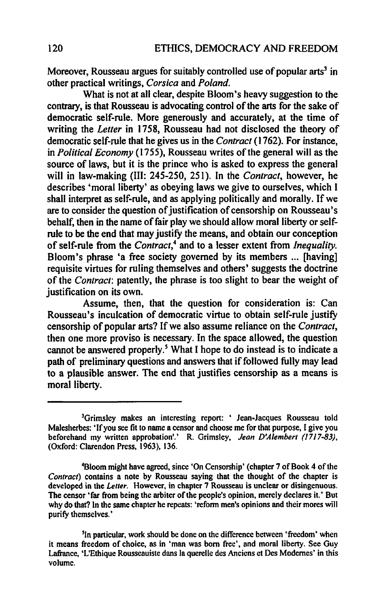Moreover, Rousseau argues for suitably controlled use of popular  $arts<sup>3</sup>$  in other practical writings, *Corsica* and *Poland.* 

What is not at all clear, despite Bloom's heavy suggestion to the contrary, is that Rousseau is advocating control of the arts for the sake of democratic self-rule. More generously and accurately, at the time of writing the *Letter* in 1758, Rousseau had not disclosed the theory of democratic self-rule that he gives us in the *Contract* (1762). For instance, in *Political Economy* (1755), Rousseau writes ofthe general will as the source of laws, but it is the prince who is asked to express the general will in law-making (III: 245-250, 251). In the *Contract,* however, he describes 'moral liberty' as obeying laws we give to ourselves, which I shall interpret as self-rule, and as applying politically and morally. If we are to consider the question of justification of censorship on Rousseau's behalf, then in the name of fair play we should allow moral liberty or selfrule to be the end that may justify the means, and obtain our conception of self-rule from the *Contract,4* and to a lesser extent from *Inequality.*  Bloom's phrase 'a free society governed by its members ... [having] requisite virtues for ruling themselves and others' suggests the doctrine of the *Contract:* patently, the phrase is too slight to bear the weight of justification on its own.

Assume, then, that the question for consideration is: Can Rousseau's inculcation of democratic virtue to obtain self-rule justiry censorship of popular arts? If we also assume reliance on the *Contract*, then one more proviso is necessary. In the space allowed, the question cannot be answered properly.<sup>5</sup> What I hope to do instead is to indicate a path of preliminary questions and answers that if followed fully may lead to a plausible answer. The end that justifies censorship as a means is moral liberty.

<sup>&</sup>lt;sup>3</sup>Grimsley makes an interesting report: ' Jean-Jacques Rousseau told Malesherbes: 'If you see fit to name a censor and choose me for that purpose, I give you beforehand my written approbation',' R. Grimsley. *Jean D'Alembert (17/7-83),*  (Oxford: Clarendon Press, 1963), 136.

<sup>4</sup>Bloom might have agreed, since 'On Censorship' (chapter 7 of Book 4 of the *Contract)* contains a note by Rousseau saying that the thought of the chapter is developed in the *Letter.* However, in chapter 7 Rousseau is unclear or disingenuous. The censor 'far from being the arbiter of the people's opinion, merely declares it.' But why do that? In the same chapter he repeats: 'reform men's opinions and their mores will purify themselves.'

<sup>&</sup>lt;sup>5</sup>In particular, work should be done on the difference between 'freedom' when it means freedom of choice, as in 'man was born free', and moral liberty. See Guy Lafrance, 'L'Ethique Rousseauiste dans la querelle des Anciens et Des Modemes' in this volume.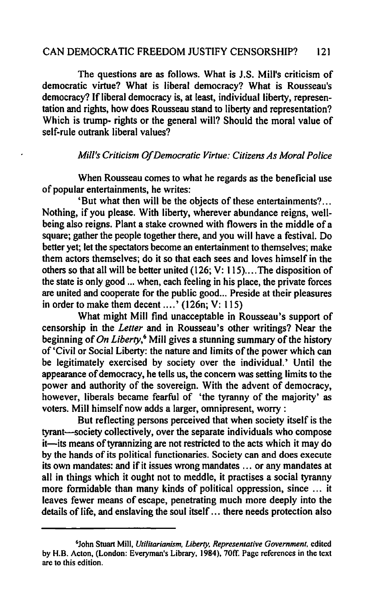#### CAN DEMOCRATIC FREEDOM JUSTIFY CENSORSHIP? 121

The questions are as follows. What is J.S. Mill's criticism of democratic virtue? What is liberal democracy? What is Rousseau's democracy? If liberal democracy is, at least, individual liberty, representation and rights, how does Rousseau stand to liberty and representation? Which is trump- rights or the general will? Should the moral value of self-rule outrank liberal values?

#### *Mill's Criticism O/Democratic Virtue: Citizens As Moral Police*

When Rousseau comes to what he regards as the beneficial use of popular entertainments, he writes:

'But what then will be the objects of these entertainments? .. Nothing, if you please. With liberty, wherever abundance reigns, wellbeing also reigns. Plant a stake crowned with flowers in the middle of a square; gather the people together there, and you will have a festival. Do better yet; let the spectators become an entertainment to themselves; make them actors themselves; do it so that each sees and loves himself in the others so that all will be better united (126; V: 115)....The disposition of the state is only good ... when, each feeling in his place, the private forces are united and cooperate for the public good ... Preside at their pleasures in order to make them decent .... ' (126n; V: 115)

What might Mill find unacceptable in Rousseau's support of censorship in the *Letter* and in Rousseau's other writings? Near the beginning of *On Liberty*,<sup>6</sup> Mill gives a stunning summary of the history of 'Civil or Social Liberty: the nature and limits of the power which can be legitimately exercised by society over the individual.' Until the appearance of democracy, he tells us, the concern was setting limits to the power and authority of the sovereign. With the advent of democracy, however, liberals became fearful of 'the tyranny of the majority' as voters. Mill himself now adds a larger, omnipresent, worry :

But reflecting persons perceived that when society itself is the tyrant-society collectively, over the separate individuals who compose it—its means of tyrannizing are not restricted to the acts which it may do by the hands of its political functionaries. Society can and does execute its own mandates: and if it issues wrong mandates ... or any mandates at all in things which it ought not to meddle, it practises a social tyranny more formidable than many kinds of political oppression, since ... it leaves fewer means of escape, penetrating much more deeply into the details of life, and enslaving the soul itself ... there needs protection also

<sup>6</sup>John Stuart Mill, *Utilitarianism, Liberty. Representative Government.* edited by H.B. Acton, (London: Everyman's Library, 1984), 70tT. Page references in the text are to this edition.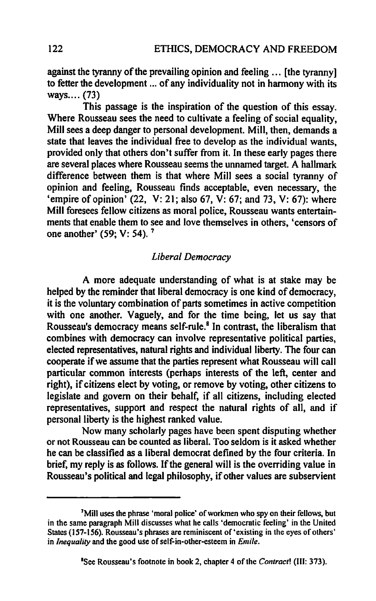against the tyranny of the prevailing opinion and feeling ... [the tyranny] to fetter the development ... of any individuality not in harmony with its ways.... (73)

This passage is the inspiration of the question of this essay. Where Rousseau sees the need to cultivate a feeling of social equality, Mill sees a deep danger to personal development. Mill, then, demands a state that leaves the individual free to develop as the individual wants, provided only that others don't suffer from it. In these early pages there are several places where Rousseau seems the unnamed target. A hallmark difference between them is that where Mill sees a social tyranny of opinion and feeling, Rousseau finds acceptable, even necessary, the 'empire of opinion'  $(22, V: 21;$  also 67, V: 67; and 73, V: 67): where Mill foresees fellow citizens as moral police, Rousseau wants entertainments that enable them to see and love themselves in others, 'censors of one another' (59; V: 54). 7

#### *Liberal Democracy*

A more adequate understanding of what is at stake may be helped by the reminder that liberal democracy is one kind of democracy, it is the voluntary combination of parts sometimes in active competition with one another. Vaguely, and for the time being, let us say that Rousseau's democracy means self-rule.<sup>8</sup> In contrast, the liberalism that combines with democracy can involve representative political parties, elected representatives, natural rights and individual liberty. The four can cooperate if we assume that the parties represent what Rousseau will call particular common interests (perhaps interests of the left, center and right), if citizens elect by voting, or remove by voting, other citizens to legislate and govern on their behalf, if all citizens, including elected representatives, support and respect the natural rights of all, and if personal liberty is the highest ranked value.

Now many scholarly pages have been spent disputing whether or not Rousseau can be counted as liberal. Too seldom is it asked whether he can be classified as a liberal democrat defined by the four criteria. In brief, my reply is as follows. If the general will is the overriding value in Rousseau's political and legal philosophy, if other values are subservient

<sup>&</sup>lt;sup>7</sup>Mill uses the phrase 'moral police' of workmen who spy on their fellows, but in the same paragraph Mill discusses what he calls 'democratic feeling' in the United States (157-156). Rousseau's phrases are reminiscent of 'existing in the eyes of others' in *Inequality* and the good use of self-in-other-esteem in *Emile.*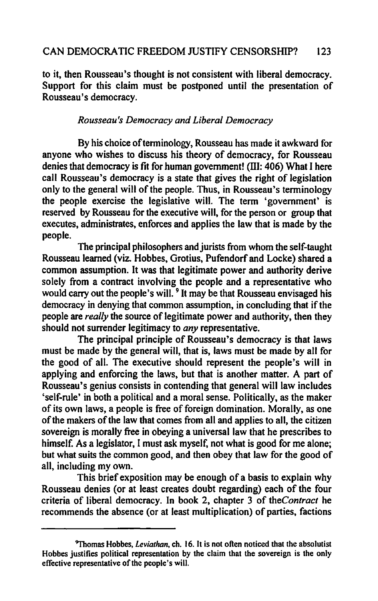to it, then Rousseau's thought is not consistent with liberal democracy. Support for this claim must be postponed until the presentation of Rousseau's democracy.

#### *Rousseau's Democracy and Liberal Democracy*

By his choice of terminology, Rousseau has made it awkward for anyone who wishes to discuss his theory of democracy, for Rousseau denies that democracy is fit for human government! (III: 406) What I here call Rousseau's democracy is a state that gives the right of legislation only to the general will of the people. Thus, in Rousseau's terminology the people exercise the legislative will. The term 'government' is reserved by Rousseau for the executive will, for the person or group that executes, administrates, enforces and applies the law that is made by the people.

The principal philosophers and jurists from whom the self-taught Rousseau learned (viz. Hobbes, Grotius, Pufendorf and Locke) shared a common assumption. It was that legitimate power and authority derive solely from a contract involving the people and a representative who would carry out the people's will.<sup>9</sup> It may be that Rousseau envisaged his democracy in denying that common assumption, in concluding that if the people are *really* the source of legitimate power and authority, then they should not surrender legitimacy to *any* representative.

The principal principle of Rousseau's democracy is that laws must be made by the general will, that is, laws must be made by all for the good of all. The executive should represent the people's will in applying and enforcing the laws, but that is another matter. A part of Rousseau's genius consists in contending that general will law includes 'self-rule' in both a political and a moral sense. Politically. as the maker of its own laws, a people is free of foreign domination. Morally. as one of the makers of the law that comes from all and applies to all, the citizen sovereign is morally free in obeying a universal law that he prescribes to himself. As a legislator, I must ask myself, not what is good for me alone; but what suits the common good, and then obey that law for the good of all, including my own.

This brief exposition may be enough of a basis to explain why Rousseau denies (or at least creates doubt regarding) each of the four criteria of liberal democracy. In book 2. chapter 3 of *theContract* he recommends the absence (or at least multiplication) of parties, factions

<sup>&#</sup>x27;1'homas Hobbes, *Leviathan,* ch. 16. It is not often noticed that the absolutist Hobbes justifies political representation by the claim that the sovereign is the only effective representative of the people's will.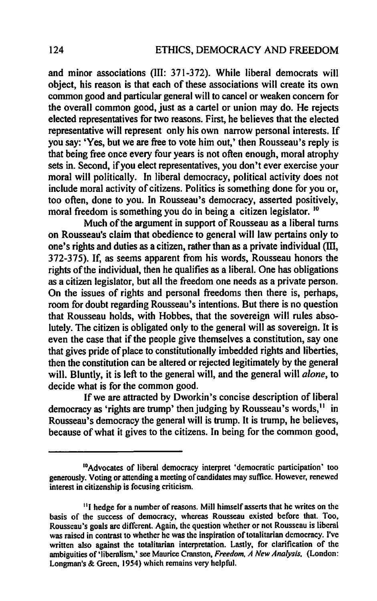and minor associations (III: 371-372). While liberal democrats will object, his reason is that each of these associations will create its own common good and particular general will to cancel or weaken concern for the overall common good, just as a cartel or union may do. He rejects elected representatives for two reasons. First, he believes that the elected representative will represent only his own narrow personal interests. If you say: 'Yes, but we are free to vote him out,' then Rousseau's reply is that being free once every four years is not often enough, moral atrophy sets in. Second, if you elect representatives, you don't ever exercise your moral will politically. In liberal democracy, political activity does not include moral activity of citizens. Politics is something done for you or, too often, done to you. In Rousseau's democracy, asserted positively, moral freedom is something you do in being a citizen legislator.<sup>10</sup>

Much of the argument in support of Rousseau as a liberal turns on Rousseau's claim that obedience to general will law pertains only to one's rights and duties as a citizen, rather than as a private individual (III, 372-375). If, as seems apparent from his words, Rousseau honors the rights of the individual, then he qualifies as a liberal. One has obligations as a citizen legislator, but all the freedom one needs as a private person. On the issues of rights and personal freedoms then there is, perhaps, room for doubt regarding Rousseau's intentions. But there is no question that Rousseau holds, with Hobbes, that the sovereign will rules absolutely. The citizen is obligated only to the general will as sovereign. It is even the case that if the people give themselves a constitution, say one that gives pride of place to constitutionally imbedded rights and liberties, then the constitution can be altered or rejected legitimately by the general will. Bluntly, it is left to the general will, and the general will *alone,* to decide what is for the common good.

If we are attracted by Dworkin's concise description of liberal democracy as 'rights are trump' then judging by Rousseau's words.<sup>11</sup> in Rousseau's democracy the general will is trump. It is trump, he believes, because of what it gives to the citizens. In being for the common good,

<sup>&</sup>lt;sup>10</sup>Advocates of liberal democracy interpret 'democratic participation' too generously. Voting or attending a meeting of candidates may suffice. However, renewed interest in citizenship is focusing criticism.

<sup>&</sup>lt;sup>11</sup>I hedge for a number of reasons. Mill himself asserts that he writes on the basis of the success of democracy. whereas Rousseau existed before that. Too. Rousseau's goals are different. Again. the question whether or not Rousseau is liberal was raised in contrast to whether he was the inspiration of totalitarian democracy. I've written also against the totalitarian interpretation. Lastly. for clarification of the ambiguities of 'libernlism,' see Maurice Cranston, *Freedom. A New Analysis,* (London: Longman's & Green, 1954) which remains very helpful.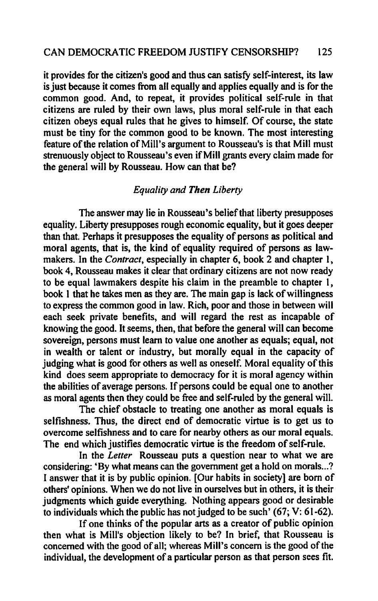#### CAN DEMOCRATIC FREEDOM JUSTIFY CENSORSHIP? 125

it provides for the citizen's good and thus can satisfy self-interest, its law is just because it comes from all equally and applies equally and is for the common good. And, to repeat, it provides political self-rule in that citizens are ruled by their own laws, plus moral self-rule in that each citizen obeys equal rules that he gives to himself. Of course, the state must be tiny for the common good to be known. The most interesting feature of the relation of Mill's argument to Rousseau's is that Mill must strenuously object to Rousseau's even if Mill grants every claim made for the general will by Rousseau. How can that be?

#### *Equality and Then Liberty*

The answer may lie in Rousseau's belief that liberty presupposes equality. Liberty presupposes rough economic equality. but it goes deeper than that. Perhaps it presupposes the equality of persons as political and moral agents, that is, the kind of equality required of persons as lawmakers. In the *Contract,* especially in chapter 6, book 2 and chapter I, book 4, Rousseau makes it clear that ordinary citizens are not now ready to be equal lawmakers despite his claim in the preamble to chapter 1, book 1 that he takes men as they are. The main gap is lack of willingness to express the common good in law. Rich, poor and those in between will each seek private benefits, and will regard the rest as incapable of knowing the good. It seems, then, that before the general will can become sovereign, persons must learn to value one another as equals; equal, not in wealth or talent or industry, but morally equal in the capacity of judging what is good for others as well as oneself. Moral equality of this kind does seem appropriate to democracy for it is moral agency within the abilities of average persons. If persons could be equal one to another as moral agents then they could be free and self-ruled by the general will.

The chief obstacle to treating one another as moral equals is selfishness. Thus, the direct end of democratic virtue is to get us to overcome selfishness and to care for nearby others as our moral equals. The end which justifies democratic virtue is the freedom of self-rule.

In the *Leiter* Rousseau puts a question near to what we are considering: 'By what means can the government get a hold on morals...? I answer that it is by public opinion. [Our habits in society] are born of others' opinions. When we do not live in ourselves but in others, it is their judgments which guide everything. Nothing appears good or desirable to individuals which the public has not judged to be such' (67; V: 61-62).

If one thinks of the popular arts as a creator of public opinion then what is Mill's objection likely to be? In brief, that Rousseau is concerned with the good of all; whereas Mill's concern is the good of the individual, the development of a particular person as that person sees fit.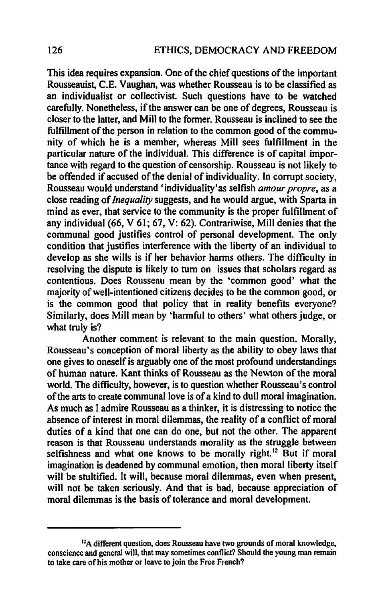This idea requires expansion. One of the chief questions of the important Rousseauist, C.E. Vaughan, was whether Rousseau is to be classified as an individualist or collectivist. Such questions have to be watched carefully. Nonetheless, if the answer can be one of degrees, Rousseau is closer to the latter, and Mill to the former. Rousseau is inclined to see the fulfillment of the person in relation to the common good of the community of which he is a member, whereas Mill sees fulfillment in the particular nature of the individual. This difference is of capital importance with regard to the question of censorship. Rousseau is not likely to be offended if accused of the denial of individuality. In corrupt society, Rousseau would understand 'individuality'as selfish *amour propre*, as a close reading of *Inequality* suggests, and he would argue, with Sparta in mind as ever, that service to the community is the proper fulfillment of any individual (66, V 61; 67, V: 62). Contrariwise, Mill denies that the communal good justifies control of personal development. The only condition that justifies interference with the liberty of an individual to develop as she wills is if her behavior harms others. The difficulty in resolving the dispute is likely to tum on issues that scholars regard as contentious. Does Rousseau mean by the 'common good' what the majority of well-intentioned citizens decides to be the common good, or is the common good that policy that in reality benefits everyone? Similarly, does Mill mean by 'harmful to others' what others judge, or what truly is?

Another comment is relevant to the main question. Morally, Rousseau's conception of moral liberty as the ability to obey laws that one gives to oneself is arguably one of the most profound understandings of human nature. Kant thinks of Rousseau as the Newton of the moral world. The difficulty, however, is to question whether Rousseau's control of the arts to create communal love is ofa kind to dull moral imagination. As much as I admire Rousseau as a thinker, it is distressing to notice the absence of interest in moral dilemmas, the reality of a conflict of moral duties of a kind that one can do one, but not the other. The apparent reason is that Rousseau understands morality as the struggle between selfishness and what one knows to be morally right.<sup>12</sup> But if moral imagination is deadened by communal emotion, then moral liberty itself will be stultified. It will, because moral dilemmas, even when present, will not be taken seriously. And that is bad, because appreciation of moral dilemmas is the basis of tolerance and moral development.

<sup>&</sup>lt;sup>12</sup>A different question, does Rousseau have two grounds of moral knowledge, conscience and general will, that may sometimes conflict? Should the young man remain to take care of his mother or leave to join the Free French?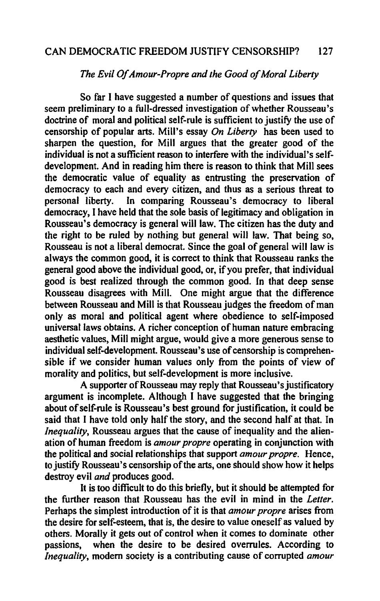#### CAN DEMOCRATIC FREEDOM JUSTIFY CENSORSHIP? 127

#### *The Evil Of Amour-Propre and the Good of Moral Liberty*

So far I have suggested a number of questions and issues that seem preliminary to a full-dressed investigation of whether Rousseau's doctrine of moral and political self-rule is sufficient to justify the use of censorship of popular arts. Mill's essay *On Liberty* has been used to sharpen the question, for Mill argues that the greater good of the individual is not a sufficient reason to interfere with the individual's selfdevelopment. And in reading him there is reason to think that Mill sees the democratic value of equality as entrusting the preservation of democracy to each and every citizen, and thus as a serious threat to personal liberty. In comparing Rousseau's democracy to liberal democracy, I have held that the sole basis of legitimacy and obligation in Rousseau's democracy is general will law. The citizen has the duty and the right to be ruled by nothing but general will law. That being so, Rousseau is not a liberal democrat. Since the goal of general will law is always the common good, it is correct to think that Rousseau ranks the general good above the individual good, or, if you prefer, that individual good is best realized through the common good. In that deep sense Rousseau disagrees with Mill. One might argue that the difference between Rousseau and Mill is that Rousseau judges the freedom of man only as moral and political agent where obedience to self-imposed universal laws obtains. A richer conception of human nature embracing aesthetic values, Mill might argue, would give a more generous sense to individual self-development. Rousseau's use of censorship is comprehensible if we consider human values only from the points of view of morality and politics, but self-development is more inclusive.

A supporter of Rousseau may reply that Rousseau's justificatory argument is incomplete. Although I have suggested that the bringing about of self-rule is Rousseau's best ground for justification, it could be said that I have told only half the story, and the second half at that. In *Inequality*, Rousseau argues that the cause of inequality and the alienation of human freedom is *amour propre* operating in conjunction with the political and social relationships that support *amour propre.* Hence, to justify Rousseau's censorship of the arts, one should show how it helps destroy evil *and* produces good.

It is too difficult to do this briefly, but it should be attempted for the further reason that Rousseau has the evil in mind in the *Letter.*  Perhaps the simplest introduction of it is that *amour propre* arises from the desire for self-esteem, that is, the desire to value oneself as valued by others. Morally it gets out of control when it comes to dominate other passions, when the desire to be desired overrules. According to when the desire to be desired overrules. According to *Inequality,* modem society is a contributing cause of corrupted *amour*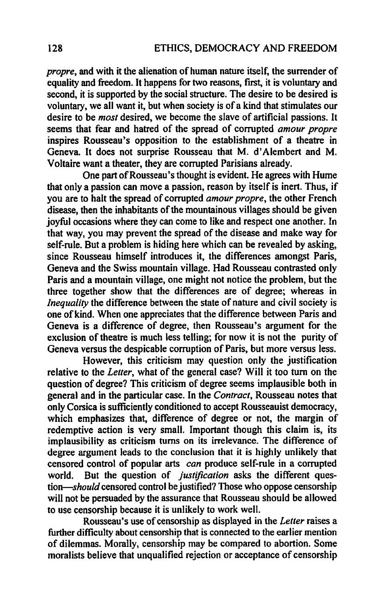*propre,* and with it the alienation of human nature itself, the surrender of equality and freedom. It happens for two reasons, fIrst, it is voluntary and second, it is supported by the social structure. The desire to be desired is voluntary, we all want it, but when society is of a kind that stimulates our desire to be *most* desired, we become the slave of artificial passions. It seems that fear and hatred of the spread of corrupted *amour propre*  inspires Rousseau's opposition to the establishment of a theatre in Geneva. It does not surprise Rousseau that M. d' Alembert and M. Voltaire want a theater, they are corrupted Parisians already.

One part of Rousseau 's thought is evident. He agrees with Hume that only a passion can move a passion, reason by itself is inert. Thus, if you are to halt the spread of corrupted *amour propre,* the other French disease, then the inhabitants of the mountainous villages should be given joyful occasions where they can come to like and respect one another. In that way, you may prevent the spread of the disease and make way for self-rule. But a problem is hiding here which can be revealed by asking, since Rousseau himself introduces it, the differences amongst Paris, Geneva and the Swiss mountain village. Had Rousseau contrasted only Paris and a mountain village, one might not notice the problem, but the three together show that the differences are of degree; whereas in *Inequality* the difference between the state of nature and civil society is one of kind. When one appreciates that the difference between Paris and Geneva is a difference of degree, then Rousseau's argument for the exclusion of theatre is much less telling; for now it is not the purity of Geneva versus the despicable corruption of Paris, but more versus less.

However, this criticism may question only the justification relative to the *Letter,* what of the general case? Will it too tum on the question of degree? This criticism of degree seems implausible both in genera) and in the particular case. In the *Contract,* Rousseau notes that only Corsica is sufficiently conditioned to accept Rousseauist democracy, which emphasizes that, difference of degree or not, the margin of redemptive action is very small. Important though this claim is, its implausibility as criticism turns on its irrelevance. The difference of degree argument leads to the conclusion that it is highly unlikely that censored control of popular arts *can* produce self-rule in a corrupted world. But the question of *justification* asks the different ques*tion-should* censored control be justified? Those who oppose censorship will not be persuaded by the assurance that Rousseau should be allowed to use censorship because it is unlikely to work well.

Rousseau's use of censorship as displayed in the *Letter* raises a further difficulty about censorship that is connected to the earlier mention of dilemmas. Morally, censorship may be compared to abortion. Some moralists believe that unqualifIed rejection or acceptance of censorship